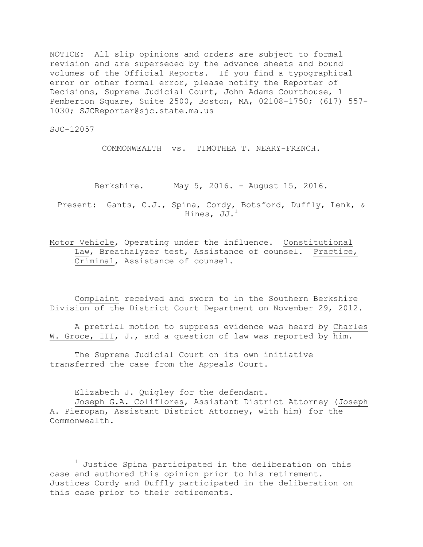NOTICE: All slip opinions and orders are subject to formal revision and are superseded by the advance sheets and bound volumes of the Official Reports. If you find a typographical error or other formal error, please notify the Reporter of Decisions, Supreme Judicial Court, John Adams Courthouse, 1 Pemberton Square, Suite 2500, Boston, MA, 02108-1750; (617) 557- 1030; SJCReporter@sjc.state.ma.us

SJC-12057

l

COMMONWEALTH vs. TIMOTHEA T. NEARY-FRENCH.

Berkshire. May 5, 2016. - August 15, 2016.

Present: Gants, C.J., Spina, Cordy, Botsford, Duffly, Lenk, & Hines, JJ.<sup>1</sup>

Motor Vehicle, Operating under the influence. Constitutional Law, Breathalyzer test, Assistance of counsel. Practice, Criminal, Assistance of counsel.

Complaint received and sworn to in the Southern Berkshire Division of the District Court Department on November 29, 2012.

A pretrial motion to suppress evidence was heard by Charles W. Groce, III, J., and a question of law was reported by him.

The Supreme Judicial Court on its own initiative transferred the case from the Appeals Court.

Elizabeth J. Quigley for the defendant.

Joseph G.A. Coliflores, Assistant District Attorney (Joseph A. Pieropan, Assistant District Attorney, with him) for the Commonwealth.

 $1$  Justice Spina participated in the deliberation on this case and authored this opinion prior to his retirement. Justices Cordy and Duffly participated in the deliberation on this case prior to their retirements.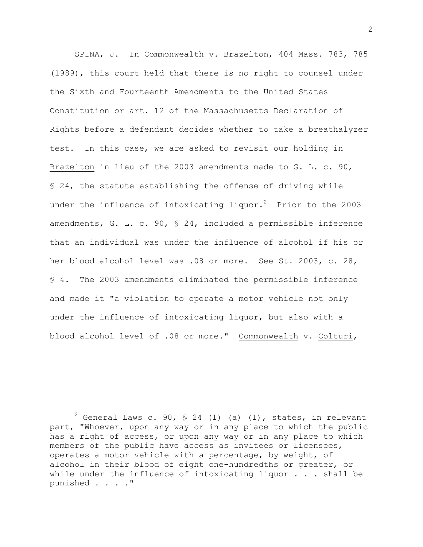SPINA, J. In Commonwealth v. Brazelton, 404 Mass. 783, 785 (1989), this court held that there is no right to counsel under the Sixth and Fourteenth Amendments to the United States Constitution or art. 12 of the Massachusetts Declaration of Rights before a defendant decides whether to take a breathalyzer test. In this case, we are asked to revisit our holding in Brazelton in lieu of the 2003 amendments made to G. L. c. 90, § 24, the statute establishing the offense of driving while under the influence of intoxicating liquor. $^{2}$  Prior to the 2003 amendments, G. L. c. 90, § 24, included a permissible inference that an individual was under the influence of alcohol if his or her blood alcohol level was .08 or more. See St. 2003, c. 28, § 4. The 2003 amendments eliminated the permissible inference and made it "a violation to operate a motor vehicle not only under the influence of intoxicating liquor, but also with a blood alcohol level of .08 or more." Commonwealth v. Colturi,

<sup>&</sup>lt;sup>2</sup> General Laws c. 90, § 24 (1) ( $\underline{a}$ ) (1), states, in relevant part, "Whoever, upon any way or in any place to which the public has a right of access, or upon any way or in any place to which members of the public have access as invitees or licensees, operates a motor vehicle with a percentage, by weight, of alcohol in their blood of eight one-hundredths or greater, or while under the influence of intoxicating liquor  $\ldots$  . shall be punished . . . ."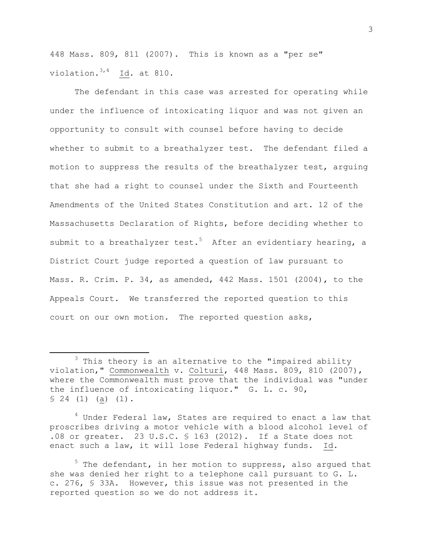448 Mass. 809, 811 (2007). This is known as a "per se" violation. 3,4 Id. at 810.

The defendant in this case was arrested for operating while under the influence of intoxicating liquor and was not given an opportunity to consult with counsel before having to decide whether to submit to a breathalyzer test. The defendant filed a motion to suppress the results of the breathalyzer test, arguing that she had a right to counsel under the Sixth and Fourteenth Amendments of the United States Constitution and art. 12 of the Massachusetts Declaration of Rights, before deciding whether to submit to a breathalyzer test.<sup>5</sup> After an evidentiary hearing, a District Court judge reported a question of law pursuant to Mass. R. Crim. P. 34, as amended, 442 Mass. 1501 (2004), to the Appeals Court. We transferred the reported question to this court on our own motion. The reported question asks,

 $\overline{\phantom{a}}$ 

<sup>4</sup> Under Federal law, States are required to enact a law that proscribes driving a motor vehicle with a blood alcohol level of .08 or greater. 23 U.S.C. § 163 (2012). If a State does not enact such a law, it will lose Federal highway funds. Id.

3

<sup>3</sup> This theory is an alternative to the "impaired ability violation," Commonwealth v. Colturi, 448 Mass. 809, 810 (2007), where the Commonwealth must prove that the individual was "under the influence of intoxicating liquor." G. L. c. 90,  $$ 24 (1) (a) (1).$ 

 $<sup>5</sup>$  The defendant, in her motion to suppress, also argued that</sup> she was denied her right to a telephone call pursuant to G. L. c. 276, § 33A. However, this issue was not presented in the reported question so we do not address it.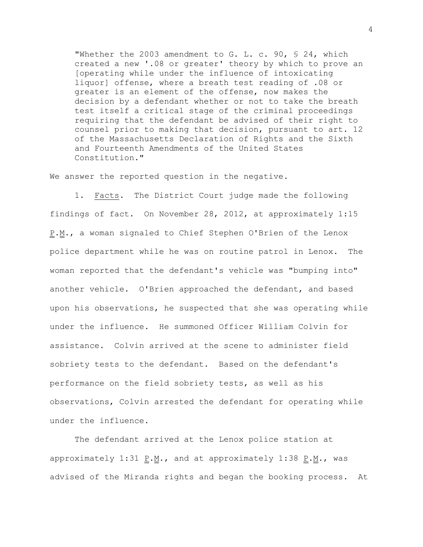"Whether the 2003 amendment to G. L. c. 90, § 24, which created a new '.08 or greater' theory by which to prove an [operating while under the influence of intoxicating liquor] offense, where a breath test reading of .08 or greater is an element of the offense, now makes the decision by a defendant whether or not to take the breath test itself a critical stage of the criminal proceedings requiring that the defendant be advised of their right to counsel prior to making that decision, pursuant to art. 12 of the Massachusetts Declaration of Rights and the Sixth and Fourteenth Amendments of the United States Constitution."

We answer the reported question in the negative.

1. Facts. The District Court judge made the following findings of fact. On November 28, 2012, at approximately 1:15 P.M., a woman signaled to Chief Stephen O'Brien of the Lenox police department while he was on routine patrol in Lenox. The woman reported that the defendant's vehicle was "bumping into" another vehicle. O'Brien approached the defendant, and based upon his observations, he suspected that she was operating while under the influence. He summoned Officer William Colvin for assistance. Colvin arrived at the scene to administer field sobriety tests to the defendant. Based on the defendant's performance on the field sobriety tests, as well as his observations, Colvin arrested the defendant for operating while under the influence.

The defendant arrived at the Lenox police station at approximately 1:31 P.M., and at approximately 1:38 P.M., was advised of the Miranda rights and began the booking process. At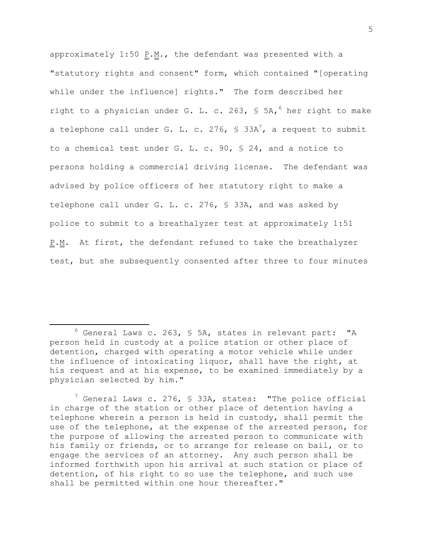approximately  $1:50$  P.M., the defendant was presented with a "statutory rights and consent" form, which contained "[operating while under the influence] rights." The form described her right to a physician under G. L. c. 263, § 5A, <sup>6</sup> her right to make a telephone call under G. L. c. 276, § 33A<sup>7</sup>, a request to submit to a chemical test under G. L. c. 90, § 24, and a notice to persons holding a commercial driving license. The defendant was advised by police officers of her statutory right to make a telephone call under G. L. c. 276, § 33A, and was asked by police to submit to a breathalyzer test at approximately 1:51 P.M. At first, the defendant refused to take the breathalyzer test, but she subsequently consented after three to four minutes

 $\overline{\phantom{a}}$ 

 $6$  General Laws c. 263, § 5A, states in relevant part: "A person held in custody at a police station or other place of detention, charged with operating a motor vehicle while under the influence of intoxicating liquor, shall have the right, at his request and at his expense, to be examined immediately by a physician selected by him."

 $7$  General Laws c. 276, § 33A, states: "The police official in charge of the station or other place of detention having a telephone wherein a person is held in custody, shall permit the use of the telephone, at the expense of the arrested person, for the purpose of allowing the arrested person to communicate with his family or friends, or to arrange for release on bail, or to engage the services of an attorney. Any such person shall be informed forthwith upon his arrival at such station or place of detention, of his right to so use the telephone, and such use shall be permitted within one hour thereafter."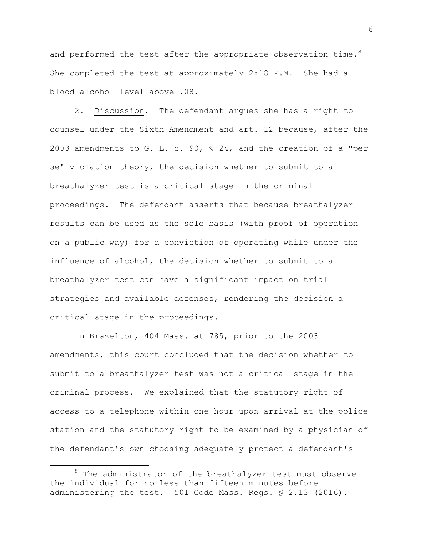and performed the test after the appropriate observation time.<sup>8</sup> She completed the test at approximately 2:18 P.M. She had a blood alcohol level above .08.

2. Discussion. The defendant argues she has a right to counsel under the Sixth Amendment and art. 12 because, after the 2003 amendments to G. L. c. 90, § 24, and the creation of a "per se" violation theory, the decision whether to submit to a breathalyzer test is a critical stage in the criminal proceedings. The defendant asserts that because breathalyzer results can be used as the sole basis (with proof of operation on a public way) for a conviction of operating while under the influence of alcohol, the decision whether to submit to a breathalyzer test can have a significant impact on trial strategies and available defenses, rendering the decision a critical stage in the proceedings.

In Brazelton, 404 Mass. at 785, prior to the 2003 amendments, this court concluded that the decision whether to submit to a breathalyzer test was not a critical stage in the criminal process. We explained that the statutory right of access to a telephone within one hour upon arrival at the police station and the statutory right to be examined by a physician of the defendant's own choosing adequately protect a defendant's

 $\overline{\phantom{a}}$ 

 $8$  The administrator of the breathalyzer test must observe the individual for no less than fifteen minutes before administering the test. 501 Code Mass. Regs. § 2.13 (2016).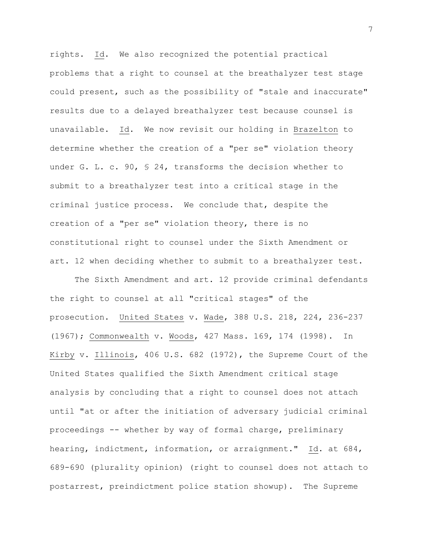rights. Id. We also recognized the potential practical problems that a right to counsel at the breathalyzer test stage could present, such as the possibility of "stale and inaccurate" results due to a delayed breathalyzer test because counsel is unavailable. Id. We now revisit our holding in Brazelton to determine whether the creation of a "per se" violation theory under G. L. c. 90, § 24, transforms the decision whether to submit to a breathalyzer test into a critical stage in the criminal justice process. We conclude that, despite the creation of a "per se" violation theory, there is no constitutional right to counsel under the Sixth Amendment or art. 12 when deciding whether to submit to a breathalyzer test.

The Sixth Amendment and art. 12 provide criminal defendants the right to counsel at all "critical stages" of the prosecution. United States v. Wade, 388 U.S. 218, 224, 236-237 (1967); Commonwealth v. Woods, 427 Mass. 169, 174 (1998). In Kirby v. Illinois, 406 U.S. 682 (1972), the Supreme Court of the United States qualified the Sixth Amendment critical stage analysis by concluding that a right to counsel does not attach until "at or after the initiation of adversary judicial criminal proceedings -- whether by way of formal charge, preliminary hearing, indictment, information, or arraignment." Id. at 684, 689-690 (plurality opinion) (right to counsel does not attach to postarrest, preindictment police station showup). The Supreme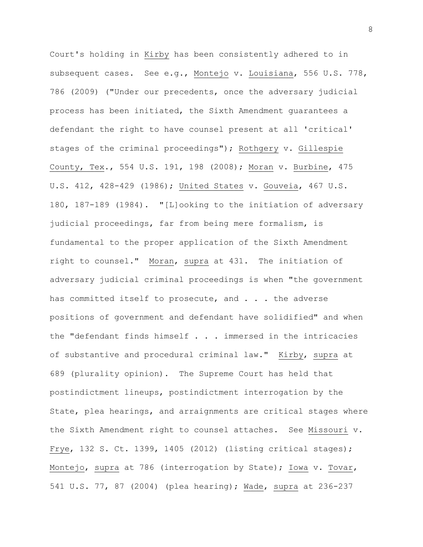Court's holding in Kirby has been consistently adhered to in subsequent cases. See e.g., Montejo v. Louisiana, 556 U.S. 778, 786 (2009) ("Under our precedents, once the adversary judicial process has been initiated, the Sixth Amendment guarantees a defendant the right to have counsel present at all 'critical' stages of the criminal proceedings"); Rothgery v. Gillespie County, Tex., 554 U.S. 191, 198 (2008); Moran v. Burbine, 475 U.S. 412, 428-429 (1986); United States v. Gouveia, 467 U.S. 180, 187-189 (1984). "[L]ooking to the initiation of adversary judicial proceedings, far from being mere formalism, is fundamental to the proper application of the Sixth Amendment right to counsel." Moran, supra at 431. The initiation of adversary judicial criminal proceedings is when "the government has committed itself to prosecute, and . . . the adverse positions of government and defendant have solidified" and when the "defendant finds himself . . . immersed in the intricacies of substantive and procedural criminal law." Kirby, supra at 689 (plurality opinion). The Supreme Court has held that postindictment lineups, postindictment interrogation by the State, plea hearings, and arraignments are critical stages where the Sixth Amendment right to counsel attaches. See Missouri v. Frye, 132 S. Ct. 1399, 1405 (2012) (listing critical stages); Montejo, supra at 786 (interrogation by State); Iowa v. Tovar, 541 U.S. 77, 87 (2004) (plea hearing); Wade, supra at 236-237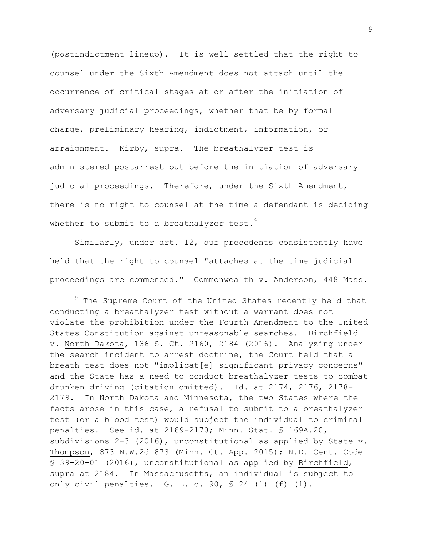(postindictment lineup). It is well settled that the right to counsel under the Sixth Amendment does not attach until the occurrence of critical stages at or after the initiation of adversary judicial proceedings, whether that be by formal charge, preliminary hearing, indictment, information, or arraignment. Kirby, supra. The breathalyzer test is administered postarrest but before the initiation of adversary judicial proceedings. Therefore, under the Sixth Amendment, there is no right to counsel at the time a defendant is deciding whether to submit to a breathalyzer test.<sup>9</sup>

Similarly, under art. 12, our precedents consistently have held that the right to counsel "attaches at the time judicial proceedings are commenced." Commonwealth v. Anderson, 448 Mass.

 $9$  The Supreme Court of the United States recently held that conducting a breathalyzer test without a warrant does not violate the prohibition under the Fourth Amendment to the United States Constitution against unreasonable searches. Birchfield v. North Dakota, 136 S. Ct. 2160, 2184 (2016). Analyzing under the search incident to arrest doctrine, the Court held that a breath test does not "implicat[e] significant privacy concerns" and the State has a need to conduct breathalyzer tests to combat drunken driving (citation omitted). Id. at 2174, 2176, 2178- 2179. In North Dakota and Minnesota, the two States where the facts arose in this case, a refusal to submit to a breathalyzer test (or a blood test) would subject the individual to criminal penalties. See id. at 2169-2170; Minn. Stat. § 169A.20, subdivisions  $2-3$  (2016), unconstitutional as applied by State v. Thompson, 873 N.W.2d 873 (Minn. Ct. App. 2015); N.D. Cent. Code § 39-20-01 (2016), unconstitutional as applied by Birchfield, supra at 2184. In Massachusetts, an individual is subject to only civil penalties. G. L. c. 90, § 24 (1) (f) (1).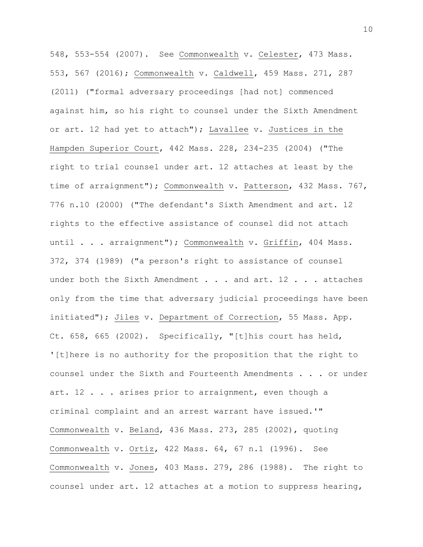548, 553-554 (2007). See Commonwealth v. Celester, 473 Mass. 553, 567 (2016); Commonwealth v. Caldwell, 459 Mass. 271, 287 (2011) ("formal adversary proceedings [had not] commenced against him, so his right to counsel under the Sixth Amendment or art. 12 had yet to attach"); Lavallee v. Justices in the Hampden Superior Court, 442 Mass. 228, 234-235 (2004) ("The right to trial counsel under art. 12 attaches at least by the time of arraignment"); Commonwealth v. Patterson, 432 Mass. 767, 776 n.10 (2000) ("The defendant's Sixth Amendment and art. 12 rights to the effective assistance of counsel did not attach until . . . arraignment"); Commonwealth v. Griffin, 404 Mass. 372, 374 (1989) ("a person's right to assistance of counsel under both the Sixth Amendment . . . and art. 12 . . . attaches only from the time that adversary judicial proceedings have been initiated"); Jiles v. Department of Correction, 55 Mass. App. Ct. 658, 665 (2002). Specifically, "[t]his court has held, '[t]here is no authority for the proposition that the right to counsel under the Sixth and Fourteenth Amendments . . . or under art. 12 . . . arises prior to arraignment, even though a criminal complaint and an arrest warrant have issued.'" Commonwealth v. Beland, 436 Mass. 273, 285 (2002), quoting Commonwealth v. Ortiz, 422 Mass. 64, 67 n.1 (1996). See Commonwealth v. Jones, 403 Mass. 279, 286 (1988). The right to counsel under art. 12 attaches at a motion to suppress hearing,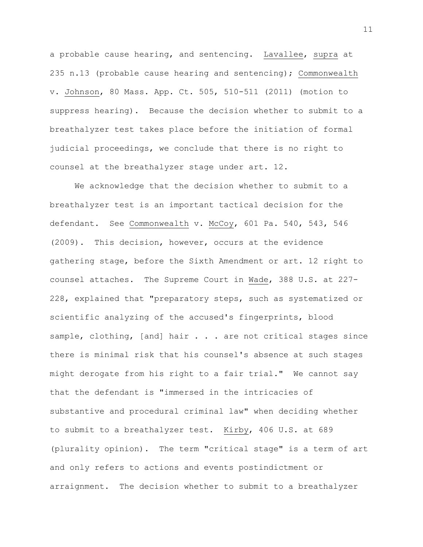a probable cause hearing, and sentencing. Lavallee, supra at 235 n.13 (probable cause hearing and sentencing); Commonwealth v. Johnson, 80 Mass. App. Ct. 505, 510-511 (2011) (motion to suppress hearing). Because the decision whether to submit to a breathalyzer test takes place before the initiation of formal judicial proceedings, we conclude that there is no right to counsel at the breathalyzer stage under art. 12.

We acknowledge that the decision whether to submit to a breathalyzer test is an important tactical decision for the defendant. See Commonwealth v. McCoy, 601 Pa. 540, 543, 546 (2009). This decision, however, occurs at the evidence gathering stage, before the Sixth Amendment or art. 12 right to counsel attaches. The Supreme Court in Wade, 388 U.S. at 227- 228, explained that "preparatory steps, such as systematized or scientific analyzing of the accused's fingerprints, blood sample, clothing, [and] hair . . . are not critical stages since there is minimal risk that his counsel's absence at such stages might derogate from his right to a fair trial." We cannot say that the defendant is "immersed in the intricacies of substantive and procedural criminal law" when deciding whether to submit to a breathalyzer test. Kirby, 406 U.S. at 689 (plurality opinion). The term "critical stage" is a term of art and only refers to actions and events postindictment or arraignment. The decision whether to submit to a breathalyzer

11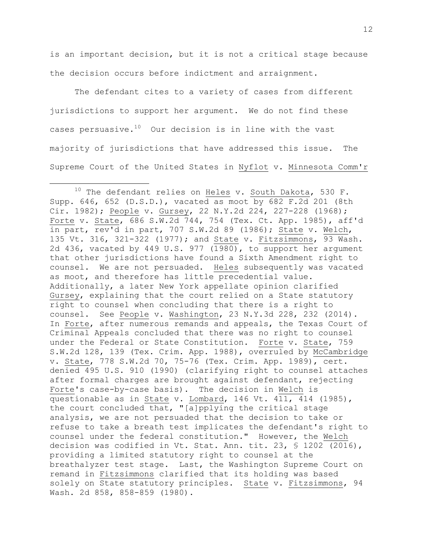is an important decision, but it is not a critical stage because the decision occurs before indictment and arraignment.

The defendant cites to a variety of cases from different jurisdictions to support her argument. We do not find these cases persuasive. $10$  Our decision is in line with the vast majority of jurisdictions that have addressed this issue. The Supreme Court of the United States in Nyflot v. Minnesota Comm'r

<sup>&</sup>lt;sup>10</sup> The defendant relies on  $Heles$  v. South Dakota, 530 F. Supp. 646, 652 (D.S.D.), vacated as moot by 682 F.2d 201 (8th Cir. 1982); People v. Gursey, 22 N.Y.2d 224, 227-228 (1968); Forte v. State, 686 S.W.2d 744, 754 (Tex. Ct. App. 1985), aff'd in part, rev'd in part, 707 S.W.2d 89 (1986); State v. Welch, 135 Vt. 316, 321-322 (1977); and State v. Fitzsimmons, 93 Wash. 2d 436, vacated by 449 U.S. 977 (1980), to support her argument that other jurisdictions have found a Sixth Amendment right to counsel. We are not persuaded. Heles subsequently was vacated as moot, and therefore has little precedential value. Additionally, a later New York appellate opinion clarified Gursey, explaining that the court relied on a State statutory right to counsel when concluding that there is a right to counsel. See People v. Washington, 23 N.Y.3d 228, 232 (2014). In Forte, after numerous remands and appeals, the Texas Court of Criminal Appeals concluded that there was no right to counsel under the Federal or State Constitution. Forte v. State, 759 S.W.2d 128, 139 (Tex. Crim. App. 1988), overruled by McCambridge v. State, 778 S.W.2d 70, 75-76 (Tex. Crim. App. 1989), cert. denied 495 U.S. 910 (1990) (clarifying right to counsel attaches after formal charges are brought against defendant, rejecting Forte's case-by-case basis). The decision in Welch is questionable as in State v. Lombard, 146 Vt. 411, 414 (1985), the court concluded that, "[a]pplying the critical stage analysis, we are not persuaded that the decision to take or refuse to take a breath test implicates the defendant's right to counsel under the federal constitution." However, the Welch decision was codified in Vt. Stat. Ann. tit. 23, § 1202 (2016), providing a limited statutory right to counsel at the breathalyzer test stage. Last, the Washington Supreme Court on remand in Fitzsimmons clarified that its holding was based solely on State statutory principles. State v. Fitzsimmons, 94 Wash. 2d 858, 858-859 (1980).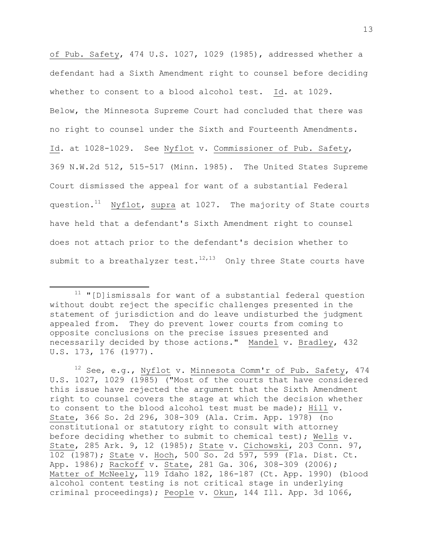of Pub. Safety, 474 U.S. 1027, 1029 (1985), addressed whether a defendant had a Sixth Amendment right to counsel before deciding whether to consent to a blood alcohol test. Id. at 1029. Below, the Minnesota Supreme Court had concluded that there was no right to counsel under the Sixth and Fourteenth Amendments. Id. at 1028-1029. See Nyflot v. Commissioner of Pub. Safety, 369 N.W.2d 512, 515-517 (Minn. 1985). The United States Supreme Court dismissed the appeal for want of a substantial Federal question.<sup>11</sup> Nyflot, supra at 1027. The majority of State courts have held that a defendant's Sixth Amendment right to counsel does not attach prior to the defendant's decision whether to submit to a breathalyzer test. $^{12,13}$  Only three State courts have

 $\overline{\phantom{a}}$ 

<sup>12</sup> See, e.g., Nyflot v. Minnesota Comm'r of Pub. Safety, 474 U.S. 1027, 1029 (1985) ("Most of the courts that have considered this issue have rejected the argument that the Sixth Amendment right to counsel covers the stage at which the decision whether to consent to the blood alcohol test must be made); Hill v. State, 366 So. 2d 296, 308-309 (Ala. Crim. App. 1978) (no constitutional or statutory right to consult with attorney before deciding whether to submit to chemical test); Wells v. State, 285 Ark. 9, 12 (1985); State v. Cichowski, 203 Conn. 97, 102 (1987); State v. Hoch, 500 So. 2d 597, 599 (Fla. Dist. Ct. App. 1986); Rackoff v. State, 281 Ga. 306, 308-309 (2006); Matter of McNeely, 119 Idaho 182, 186-187 (Ct. App. 1990) (blood alcohol content testing is not critical stage in underlying criminal proceedings); People v. Okun, 144 Ill. App. 3d 1066,

 $11$  "[D]ismissals for want of a substantial federal question without doubt reject the specific challenges presented in the statement of jurisdiction and do leave undisturbed the judgment appealed from. They do prevent lower courts from coming to opposite conclusions on the precise issues presented and necessarily decided by those actions." Mandel v. Bradley, 432 U.S. 173, 176 (1977).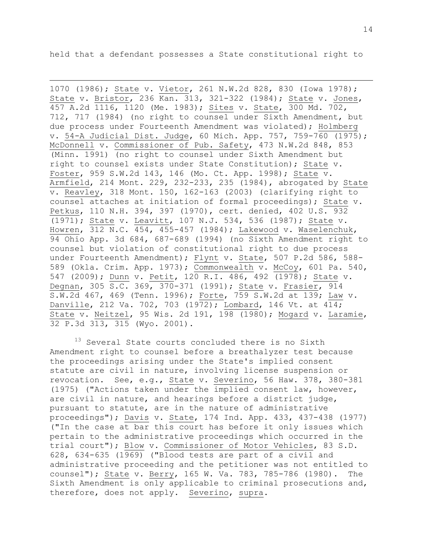held that a defendant possesses a State constitutional right to

 $\overline{a}$ 

1070 (1986); State v. Vietor, 261 N.W.2d 828, 830 (Iowa 1978); State v. Bristor, 236 Kan. 313, 321-322 (1984); State v. Jones, 457 A.2d 1116, 1120 (Me. 1983); Sites v. State, 300 Md. 702, 712, 717 (1984) (no right to counsel under Sixth Amendment, but due process under Fourteenth Amendment was violated); Holmberg v. 54-A Judicial Dist. Judge, 60 Mich. App. 757, 759-760 (1975); McDonnell v. Commissioner of Pub. Safety, 473 N.W.2d 848, 853 (Minn. 1991) (no right to counsel under Sixth Amendment but right to counsel exists under State Constitution); State v. Foster, 959 S.W.2d 143, 146 (Mo. Ct. App. 1998); State v. Armfield, 214 Mont. 229, 232-233, 235 (1984), abrogated by State v. Reavley, 318 Mont. 150, 162-163 (2003) (clarifying right to counsel attaches at initiation of formal proceedings); State v. Petkus, 110 N.H. 394, 397 (1970), cert. denied, 402 U.S. 932 (1971); State v. Leavitt, 107 N.J. 534, 536 (1987); State v. Howren, 312 N.C. 454, 455-457 (1984); Lakewood v. Waselenchuk, 94 Ohio App. 3d 684, 687-689 (1994) (no Sixth Amendment right to counsel but violation of constitutional right to due process under Fourteenth Amendment); Flynt v. State, 507 P.2d 586, 588-589 (Okla. Crim. App. 1973); Commonwealth v. McCoy, 601 Pa. 540, 547 (2009); Dunn v. Petit, 120 R.I. 486, 492 (1978); State v. Degnan, 305 S.C. 369, 370-371 (1991); State v. Frasier, 914 S.W.2d 467, 469 (Tenn. 1996); Forte, 759 S.W.2d at 139; Law v. Danville, 212 Va. 702, 703 (1972); Lombard, 146 Vt. at 414; State v. Neitzel, 95 Wis. 2d 191, 198 (1980); Mogard v. Laramie, 32 P.3d 313, 315 (Wyo. 2001).

<sup>13</sup> Several State courts concluded there is no Sixth Amendment right to counsel before a breathalyzer test because the proceedings arising under the State's implied consent statute are civil in nature, involving license suspension or revocation. See, e.g., State v. Severino, 56 Haw. 378, 380-381 (1975) ("Actions taken under the implied consent law, however, are civil in nature, and hearings before a district judge, pursuant to statute, are in the nature of administrative proceedings"); Davis v. State, 174 Ind. App. 433, 437-438 (1977) ("In the case at bar this court has before it only issues which pertain to the administrative proceedings which occurred in the trial court"); Blow v. Commissioner of Motor Vehicles, 83 S.D. 628, 634-635 (1969) ("Blood tests are part of a civil and administrative proceeding and the petitioner was not entitled to counsel"); State v. Berry, 165 W. Va. 783, 785-786 (1980). The Sixth Amendment is only applicable to criminal prosecutions and, therefore, does not apply. Severino, supra.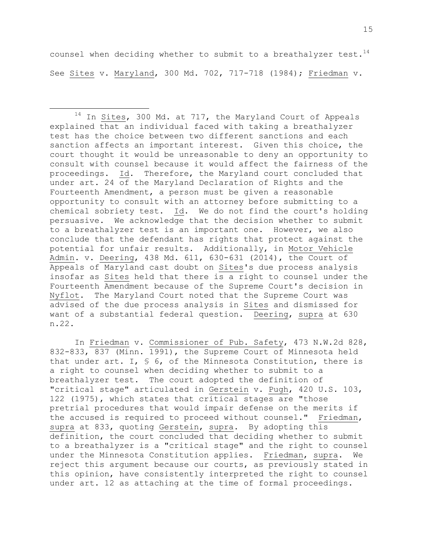counsel when deciding whether to submit to a breathalyzer test.  $^{14}$ See Sites v. Maryland, 300 Md. 702, 717-718 (1984); Friedman v.

 $\overline{a}$ 

<sup>14</sup> In Sites, 300 Md. at 717, the Maryland Court of Appeals explained that an individual faced with taking a breathalyzer test has the choice between two different sanctions and each sanction affects an important interest. Given this choice, the court thought it would be unreasonable to deny an opportunity to consult with counsel because it would affect the fairness of the proceedings. Id. Therefore, the Maryland court concluded that under art. 24 of the Maryland Declaration of Rights and the Fourteenth Amendment, a person must be given a reasonable opportunity to consult with an attorney before submitting to a chemical sobriety test. Id. We do not find the court's holding persuasive. We acknowledge that the decision whether to submit to a breathalyzer test is an important one. However, we also conclude that the defendant has rights that protect against the potential for unfair results. Additionally, in Motor Vehicle Admin. v. Deering, 438 Md. 611, 630-631 (2014), the Court of Appeals of Maryland cast doubt on Sites's due process analysis insofar as Sites held that there is a right to counsel under the Fourteenth Amendment because of the Supreme Court's decision in Nyflot. The Maryland Court noted that the Supreme Court was advised of the due process analysis in Sites and dismissed for want of a substantial federal question. Deering, supra at 630 n.22.

In Friedman v. Commissioner of Pub. Safety, 473 N.W.2d 828, 832-833, 837 (Minn. 1991), the Supreme Court of Minnesota held that under art. I, § 6, of the Minnesota Constitution, there is a right to counsel when deciding whether to submit to a breathalyzer test. The court adopted the definition of "critical stage" articulated in Gerstein v. Pugh, 420 U.S. 103, 122 (1975), which states that critical stages are "those pretrial procedures that would impair defense on the merits if the accused is required to proceed without counsel." Friedman, supra at 833, quoting Gerstein, supra. By adopting this definition, the court concluded that deciding whether to submit to a breathalyzer is a "critical stage" and the right to counsel under the Minnesota Constitution applies. Friedman, supra. We reject this argument because our courts, as previously stated in this opinion, have consistently interpreted the right to counsel under art. 12 as attaching at the time of formal proceedings.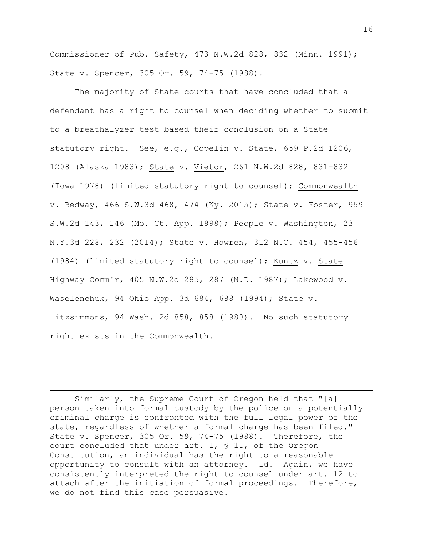Commissioner of Pub. Safety, 473 N.W.2d 828, 832 (Minn. 1991); State v. Spencer, 305 Or. 59, 74-75 (1988).

The majority of State courts that have concluded that a defendant has a right to counsel when deciding whether to submit to a breathalyzer test based their conclusion on a State statutory right. See, e.g., Copelin v. State, 659 P.2d 1206, 1208 (Alaska 1983); State v. Vietor, 261 N.W.2d 828, 831-832 (Iowa 1978) (limited statutory right to counsel); Commonwealth v. Bedway, 466 S.W.3d 468, 474 (Ky. 2015); State v. Foster, 959 S.W.2d 143, 146 (Mo. Ct. App. 1998); People v. Washington, 23 N.Y.3d 228, 232 (2014); State v. Howren, 312 N.C. 454, 455-456 (1984) (limited statutory right to counsel); Kuntz v. State Highway Comm'r, 405 N.W.2d 285, 287 (N.D. 1987); Lakewood v. Waselenchuk, 94 Ohio App. 3d 684, 688 (1994); State v. Fitzsimmons, 94 Wash. 2d 858, 858 (1980). No such statutory right exists in the Commonwealth.

Similarly, the Supreme Court of Oregon held that "[a] person taken into formal custody by the police on a potentially criminal charge is confronted with the full legal power of the state, regardless of whether a formal charge has been filed." State v. Spencer, 305 Or. 59, 74-75 (1988). Therefore, the court concluded that under art. I, § 11, of the Oregon Constitution, an individual has the right to a reasonable opportunity to consult with an attorney. Id. Again, we have consistently interpreted the right to counsel under art. 12 to attach after the initiation of formal proceedings. Therefore, we do not find this case persuasive.

 $\overline{\phantom{a}}$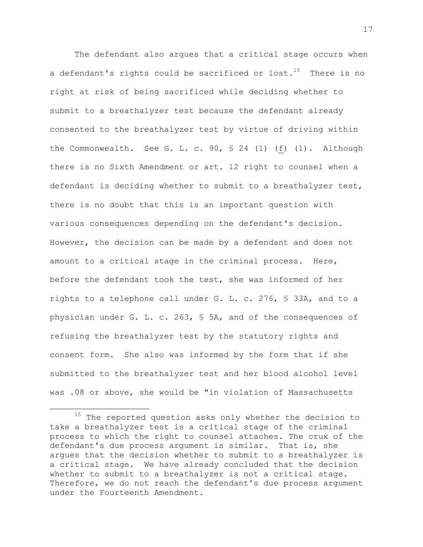The defendant also argues that a critical stage occurs when a defendant's rights could be sacrificed or lost. $^{15}$  There is no right at risk of being sacrificed while deciding whether to submit to a breathalyzer test because the defendant already consented to the breathalyzer test by virtue of driving within the Commonwealth. See G. L. c. 90, § 24 (1) (f) (1). Although there is no Sixth Amendment or art. 12 right to counsel when a defendant is deciding whether to submit to a breathalyzer test, there is no doubt that this is an important question with various consequences depending on the defendant's decision. However, the decision can be made by a defendant and does not amount to a critical stage in the criminal process. Here, before the defendant took the test, she was informed of her rights to a telephone call under G. L. c. 276, § 33A, and to a physician under G. L. c. 263, § 5A, and of the consequences of refusing the breathalyzer test by the statutory rights and consent form. She also was informed by the form that if she submitted to the breathalyzer test and her blood alcohol level was .08 or above, she would be "in violation of Massachusetts

<sup>&</sup>lt;sup>15</sup> The reported question asks only whether the decision to take a breathalyzer test is a critical stage of the criminal process to which the right to counsel attaches. The crux of the defendant's due process argument is similar. That is, she argues that the decision whether to submit to a breathalyzer is a critical stage. We have already concluded that the decision whether to submit to a breathalyzer is not a critical stage. Therefore, we do not reach the defendant's due process argument under the Fourteenth Amendment.